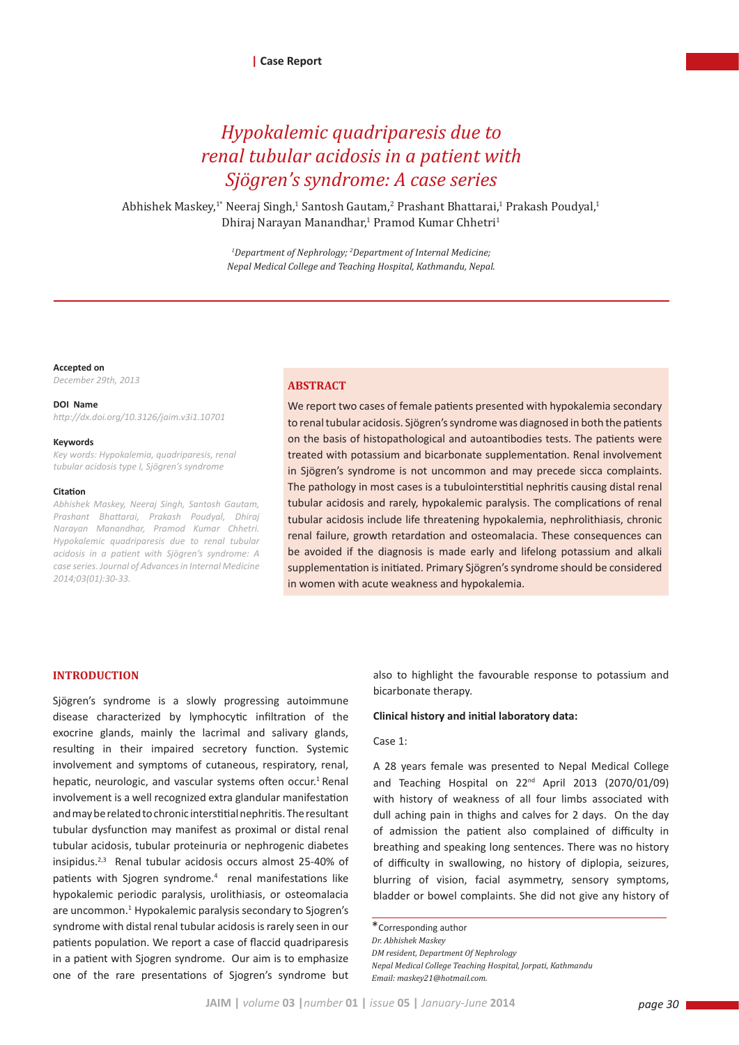# *Hypokalemic quadriparesis due to renal tubular acidosis in a patient with Sjögren's syndrome: A case series*

Abhishek Maskey,<sup>1\*</sup> Neeraj Singh,<sup>1</sup> Santosh Gautam,<sup>2</sup> Prashant Bhattarai,<sup>1</sup> Prakash Poudyal,<sup>1</sup> Dhiraj Narayan Manandhar,<sup>1</sup> Pramod Kumar Chhetri<sup>1</sup>

> *1 Department of Nephrology; 2 Department of Internal Medicine; Nepal Medical College and Teaching Hospital, Kathmandu, Nepal.*

**Accepted on**

*December 29th, 2013*

**DOI Name** *http://dx.doi.org/10.3126/jaim.v3i1.10701*

## **Keywords**

*Key words: Hypokalemia, quadriparesis, renal tubular acidosis type I, Sjögren's syndrome*

#### **Citation**

*Abhishek Maskey, Neeraj Singh, Santosh Gautam, Prashant Bhattarai, Prakash Poudyal, Dhiraj Narayan Manandhar, Pramod Kumar Chhetri. Hypokalemic quadriparesis due to renal tubular acidosis in a patient with Sjögren's syndrome: A case series. Journal of Advances in Internal Medicine 2014;03(01):30-33.*

# **Abstract**

We report two cases of female patients presented with hypokalemia secondary to renal tubular acidosis. Sjögren's syndrome was diagnosed in both the patients on the basis of histopathological and autoantibodies tests. The patients were treated with potassium and bicarbonate supplementation. Renal involvement in Sjögren's syndrome is not uncommon and may precede sicca complaints. The pathology in most cases is a tubulointerstitial nephritis causing distal renal tubular acidosis and rarely, hypokalemic paralysis. The complications of renal tubular acidosis include life threatening hypokalemia, nephrolithiasis, chronic renal failure, growth retardation and osteomalacia. These consequences can be avoided if the diagnosis is made early and lifelong potassium and alkali supplementation is initiated. Primary Sjögren's syndrome should be considered in women with acute weakness and hypokalemia.

## **INTRODUCTION**

Sjögren's syndrome is a slowly progressing autoimmune disease characterized by lymphocytic infiltration of the exocrine glands, mainly the lacrimal and salivary glands, resulting in their impaired secretory function. Systemic involvement and symptoms of cutaneous, respiratory, renal, hepatic, neurologic, and vascular systems often occur.<sup>1</sup> Renal involvement is a well recognized extra glandular manifestation and may be related to chronic interstitial nephritis. The resultant tubular dysfunction may manifest as proximal or distal renal tubular acidosis, tubular proteinuria or nephrogenic diabetes insipidus.2,3 Renal tubular acidosis occurs almost 25-40% of patients with Sjogren syndrome.<sup>4</sup> renal manifestations like hypokalemic periodic paralysis, urolithiasis, or osteomalacia are uncommon.<sup>1</sup> Hypokalemic paralysis secondary to Sjogren's syndrome with distal renal tubular acidosis is rarely seen in our patients population. We report a case of flaccid quadriparesis in a patient with Sjogren syndrome. Our aim is to emphasize one of the rare presentations of Sjogren's syndrome but

also to highlight the favourable response to potassium and bicarbonate therapy.

## **Clinical history and initial laboratory data:**

## Case 1:

A 28 years female was presented to Nepal Medical College and Teaching Hospital on 22<sup>nd</sup> April 2013 (2070/01/09) with history of weakness of all four limbs associated with dull aching pain in thighs and calves for 2 days. On the day of admission the patient also complained of difficulty in breathing and speaking long sentences. There was no history of difficulty in swallowing, no history of diplopia, seizures, blurring of vision, facial asymmetry, sensory symptoms, bladder or bowel complaints. She did not give any history of

<sup>\*</sup>Corresponding author *Dr. Abhishek Maskey DM resident, Department Of Nephrology Nepal Medical College Teaching Hospital, Jorpati, Kathmandu Email: maskey21@hotmail.com.*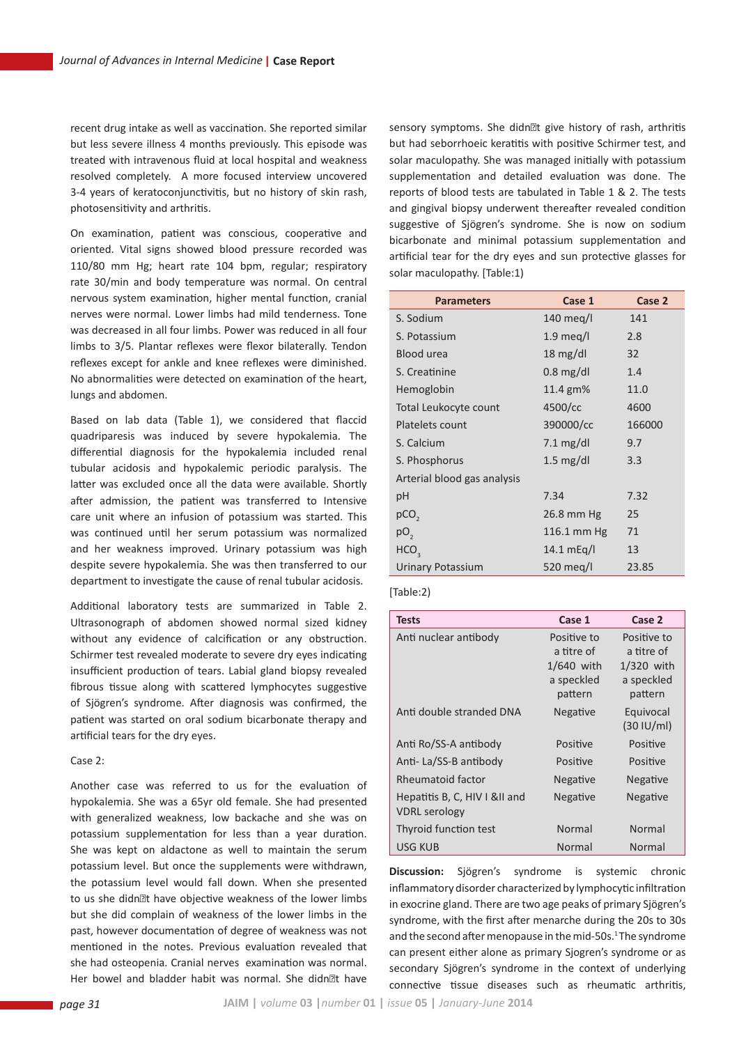recent drug intake as well as vaccination. She reported similar but less severe illness 4 months previously. This episode was treated with intravenous fluid at local hospital and weakness resolved completely. A more focused interview uncovered 3-4 years of keratoconjunctivitis, but no history of skin rash, photosensitivity and arthritis.

On examination, patient was conscious, cooperative and oriented. Vital signs showed blood pressure recorded was 110/80 mm Hg; heart rate 104 bpm, regular; respiratory rate 30/min and body temperature was normal. On central nervous system examination, higher mental function, cranial nerves were normal. Lower limbs had mild tenderness. Tone was decreased in all four limbs. Power was reduced in all four limbs to 3/5. Plantar reflexes were flexor bilaterally. Tendon reflexes except for ankle and knee reflexes were diminished. No abnormalities were detected on examination of the heart, lungs and abdomen.

Based on lab data (Table 1), we considered that flaccid quadriparesis was induced by severe hypokalemia. The differential diagnosis for the hypokalemia included renal tubular acidosis and hypokalemic periodic paralysis. The latter was excluded once all the data were available. Shortly after admission, the patient was transferred to Intensive care unit where an infusion of potassium was started. This was continued until her serum potassium was normalized and her weakness improved. Urinary potassium was high despite severe hypokalemia. She was then transferred to our department to investigate the cause of renal tubular acidosis.

Additional laboratory tests are summarized in Table 2. Ultrasonograph of abdomen showed normal sized kidney without any evidence of calcification or any obstruction. Schirmer test revealed moderate to severe dry eyes indicating insufficient production of tears. Labial gland biopsy revealed fibrous tissue along with scattered lymphocytes suggestive of Sjögren's syndrome. After diagnosis was confirmed, the patient was started on oral sodium bicarbonate therapy and artificial tears for the dry eyes.

## Case 2:

Another case was referred to us for the evaluation of hypokalemia. She was a 65yr old female. She had presented with generalized weakness, low backache and she was on potassium supplementation for less than a year duration. She was kept on aldactone as well to maintain the serum potassium level. But once the supplements were withdrawn, the potassium level would fall down. When she presented to us she didn<sup>t</sup> have objective weakness of the lower limbs but she did complain of weakness of the lower limbs in the past, however documentation of degree of weakness was not mentioned in the notes. Previous evaluation revealed that she had osteopenia. Cranial nerves examination was normal. Her bowel and bladder habit was normal. She didnet have sensory symptoms. She didn<sup>ot</sup> give history of rash, arthritis but had seborrhoeic keratitis with positive Schirmer test, and solar maculopathy. She was managed initially with potassium supplementation and detailed evaluation was done. The reports of blood tests are tabulated in Table 1 & 2. The tests and gingival biopsy underwent thereafter revealed condition suggestive of Sjögren's syndrome. She is now on sodium bicarbonate and minimal potassium supplementation and artificial tear for the dry eyes and sun protective glasses for solar maculopathy. [Table:1)

| <b>Parameters</b>           | Case 1               | Case 2 |
|-----------------------------|----------------------|--------|
| S. Sodium                   | $140 \text{ meq/l}$  | 141    |
| S. Potassium                | $1.9$ meg/l          | 2.8    |
| <b>Blood urea</b>           | $18 \text{ mg/dl}$   | 32     |
| S. Creatinine               | $0.8 \text{ mg/dl}$  | 1.4    |
| Hemoglobin                  | 11.4 gm%             | 11.0   |
| Total Leukocyte count       | $4500$ /cc           | 4600   |
| Platelets count             | 390000/cc            | 166000 |
| S. Calcium                  | $7.1 \text{ mg/dl}$  | 9.7    |
| S. Phosphorus               | 1.5 $mg/dl$          | 3.3    |
| Arterial blood gas analysis |                      |        |
| рH                          | 7.34                 | 7.32   |
| pCO <sub>2</sub>            | 26.8 mm Hg           | 25     |
| pO <sub>2</sub>             | 116.1 mm Hg          | 71     |
| HCO <sub>3</sub>            | $14.1 \text{ mEq/l}$ | 13     |
| <b>Urinary Potassium</b>    | 520 meg/l            | 23.85  |

[Table:2)

| Tests                                                 | Case 1                                  | Case 2                                    |
|-------------------------------------------------------|-----------------------------------------|-------------------------------------------|
| Anti nuclear antibody                                 | Positive to<br>a titre of<br>1/640 with | Positive to<br>a titre of<br>$1/320$ with |
|                                                       | a speckled<br>pattern                   | a speckled<br>pattern                     |
| Anti double stranded DNA                              | Negative                                | Equivocal<br>$(30 \text{ IU/ml})$         |
| Anti Ro/SS-A antibody                                 | Positive                                | Positive                                  |
| Anti-La/SS-B antibody                                 | Positive                                | Positive                                  |
| Rheumatoid factor                                     | Negative                                | Negative                                  |
| Hepatitis B, C, HIV I &II and<br><b>VDRL</b> serology | Negative                                | Negative                                  |
| Thyroid function test                                 | Normal                                  | Normal                                    |
| USG KUB                                               | Normal                                  | Normal                                    |

**Discussion:** Sjögren's syndrome is systemic chronic inflammatory disorder characterized by lymphocytic infiltration in exocrine gland. There are two age peaks of primary Sjögren's syndrome, with the first after menarche during the 20s to 30s and the second after menopause in the mid-50s.<sup>1</sup> The syndrome can present either alone as primary Sjogren's syndrome or as secondary Sjögren's syndrome in the context of underlying connective tissue diseases such as rheumatic arthritis,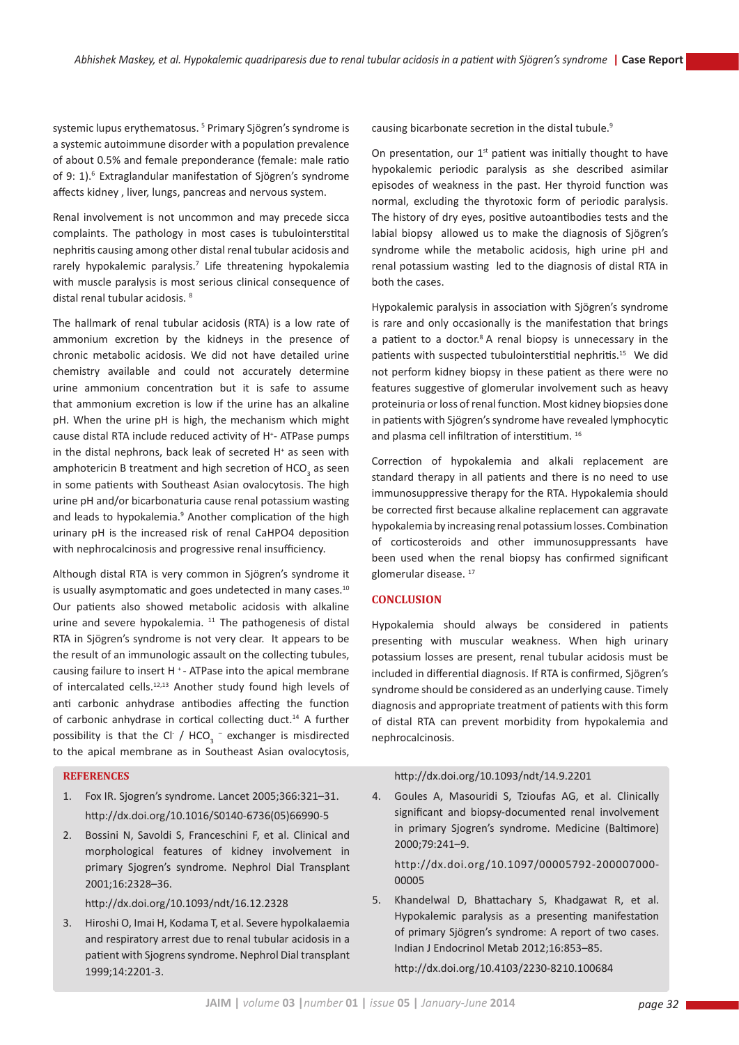systemic lupus erythematosus.<sup>5</sup> Primary Sjögren's syndrome is a systemic autoimmune disorder with a population prevalence of about 0.5% and female preponderance (female: male ratio of 9: 1).6 Extraglandular manifestation of Sjögren's syndrome affects kidney , liver, lungs, pancreas and nervous system.

Renal involvement is not uncommon and may precede sicca complaints. The pathology in most cases is tubulointerstital nephritis causing among other distal renal tubular acidosis and rarely hypokalemic paralysis.<sup>7</sup> Life threatening hypokalemia with muscle paralysis is most serious clinical consequence of distal renal tubular acidosis. 8

The hallmark of renal tubular acidosis (RTA) is a low rate of ammonium excretion by the kidneys in the presence of chronic metabolic acidosis. We did not have detailed urine chemistry available and could not accurately determine urine ammonium concentration but it is safe to assume that ammonium excretion is low if the urine has an alkaline pH. When the urine pH is high, the mechanism which might cause distal RTA include reduced activity of H<sup>+</sup>- ATPase pumps in the distal nephrons, back leak of secreted H<sup>+</sup> as seen with amphotericin B treatment and high secretion of HCO<sub>3</sub> as seen in some patients with Southeast Asian ovalocytosis. The high urine pH and/or bicarbonaturia cause renal potassium wasting and leads to hypokalemia.<sup>9</sup> Another complication of the high urinary pH is the increased risk of renal CaHPO4 deposition with nephrocalcinosis and progressive renal insufficiency.

Although distal RTA is very common in Sjögren's syndrome it is usually asymptomatic and goes undetected in many cases.<sup>10</sup> Our patients also showed metabolic acidosis with alkaline urine and severe hypokalemia.  $11$  The pathogenesis of distal RTA in Sjögren's syndrome is not very clear. It appears to be the result of an immunologic assault on the collecting tubules, causing failure to insert H<sup>+</sup> - ATPase into the apical membrane of intercalated cells.12,13 Another study found high levels of anti carbonic anhydrase antibodies affecting the function of carbonic anhydrase in cortical collecting duct.<sup>14</sup> A further possibility is that the Cl / HCO<sub>3</sub>  $^-$  exchanger is misdirected to the apical membrane as in Southeast Asian ovalocytosis,

## **REFERENCES**

- 1. Fox IR. Sjogren's syndrome. Lancet 2005;366:321–31. http://dx.doi.org/10.1016/S0140-6736(05)66990-5
- 2. Bossini N, Savoldi S, Franceschini F, et al. Clinical and morphological features of kidney involvement in primary Sjogren's syndrome. Nephrol Dial Transplant 2001;16:2328–36.

# http://dx.doi.org/10.1093/ndt/16.12.2328

3. Hiroshi O, Imai H, Kodama T, et al. Severe hypolkalaemia and respiratory arrest due to renal tubular acidosis in a patient with Sjogrens syndrome. Nephrol Dial transplant 1999;14:2201-3.

causing bicarbonate secretion in the distal tubule.<sup>9</sup>

On presentation, our  $1<sup>st</sup>$  patient was initially thought to have hypokalemic periodic paralysis as she described asimilar episodes of weakness in the past. Her thyroid function was normal, excluding the thyrotoxic form of periodic paralysis. The history of dry eyes, positive autoantibodies tests and the labial biopsy allowed us to make the diagnosis of Sjögren's syndrome while the metabolic acidosis, high urine pH and renal potassium wasting led to the diagnosis of distal RTA in both the cases.

Hypokalemic paralysis in association with Sjögren's syndrome is rare and only occasionally is the manifestation that brings a patient to a doctor.<sup>8</sup> A renal biopsy is unnecessary in the patients with suspected tubulointerstitial nephritis.15 We did not perform kidney biopsy in these patient as there were no features suggestive of glomerular involvement such as heavy proteinuria or loss of renal function. Most kidney biopsies done in patients with Sjögren's syndrome have revealed lymphocytic and plasma cell infiltration of interstitium. 16

Correction of hypokalemia and alkali replacement are standard therapy in all patients and there is no need to use immunosuppressive therapy for the RTA. Hypokalemia should be corrected first because alkaline replacement can aggravate hypokalemia by increasing renal potassium losses. Combination of corticosteroids and other immunosuppressants have been used when the renal biopsy has confirmed significant glomerular disease. 17

# **Conclusion**

Hypokalemia should always be considered in patients presenting with muscular weakness. When high urinary potassium losses are present, renal tubular acidosis must be included in differential diagnosis. If RTA is confirmed, Sjögren's syndrome should be considered as an underlying cause. Timely diagnosis and appropriate treatment of patients with this form of distal RTA can prevent morbidity from hypokalemia and nephrocalcinosis.

## http://dx.doi.org/10.1093/ndt/14.9.2201

4. Goules A, Masouridi S, Tzioufas AG, et al. Clinically significant and biopsy-documented renal involvement in primary Sjogren's syndrome. Medicine (Baltimore) 2000;79:241–9.

http://dx.doi.org/10.1097/00005792-200007000- 00005

5. Khandelwal D, Bhattachary S, Khadgawat R, et al. Hypokalemic paralysis as a presenting manifestation of primary Sjögren's syndrome: A report of two cases. Indian J Endocrinol Metab 2012;16:853–85.

http://dx.doi.org/10.4103/2230-8210.100684